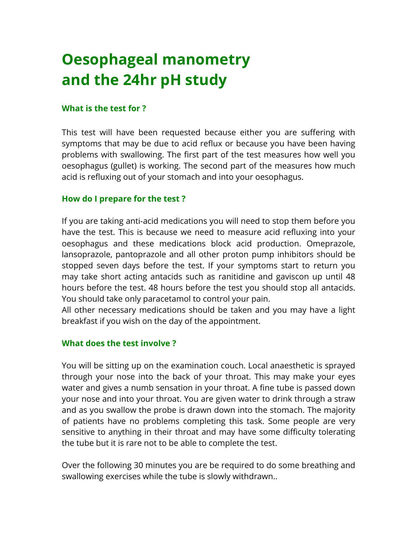# **Oesophageal manometry and the 24hr pH study**

#### **What is the test for ?**

This test will have been requested because either you are suffering with symptoms that may be due to acid reflux or because you have been having problems with swallowing. The first part of the test measures how well you oesophagus (gullet) is working. The second part of the measures how much acid is refluxing out of your stomach and into your oesophagus.

### **How do I prepare for the test ?**

If you are taking anti-acid medications you will need to stop them before you have the test. This is because we need to measure acid refluxing into your oesophagus and these medications block acid production. Omeprazole, lansoprazole, pantoprazole and all other proton pump inhibitors should be stopped seven days before the test. If your symptoms start to return you may take short acting antacids such as ranitidine and gaviscon up until 48 hours before the test. 48 hours before the test you should stop all antacids. You should take only paracetamol to control your pain.

All other necessary medications should be taken and you may have a light breakfast if you wish on the day of the appointment.

#### **What does the test involve ?**

You will be sitting up on the examination couch. Local anaesthetic is sprayed through your nose into the back of your throat. This may make your eyes water and gives a numb sensation in your throat. A fine tube is passed down your nose and into your throat. You are given water to drink through a straw and as you swallow the probe is drawn down into the stomach. The majority of patients have no problems completing this task. Some people are very sensitive to anything in their throat and may have some difficulty tolerating the tube but it is rare not to be able to complete the test.

Over the following 30 minutes you are be required to do some breathing and swallowing exercises while the tube is slowly withdrawn..